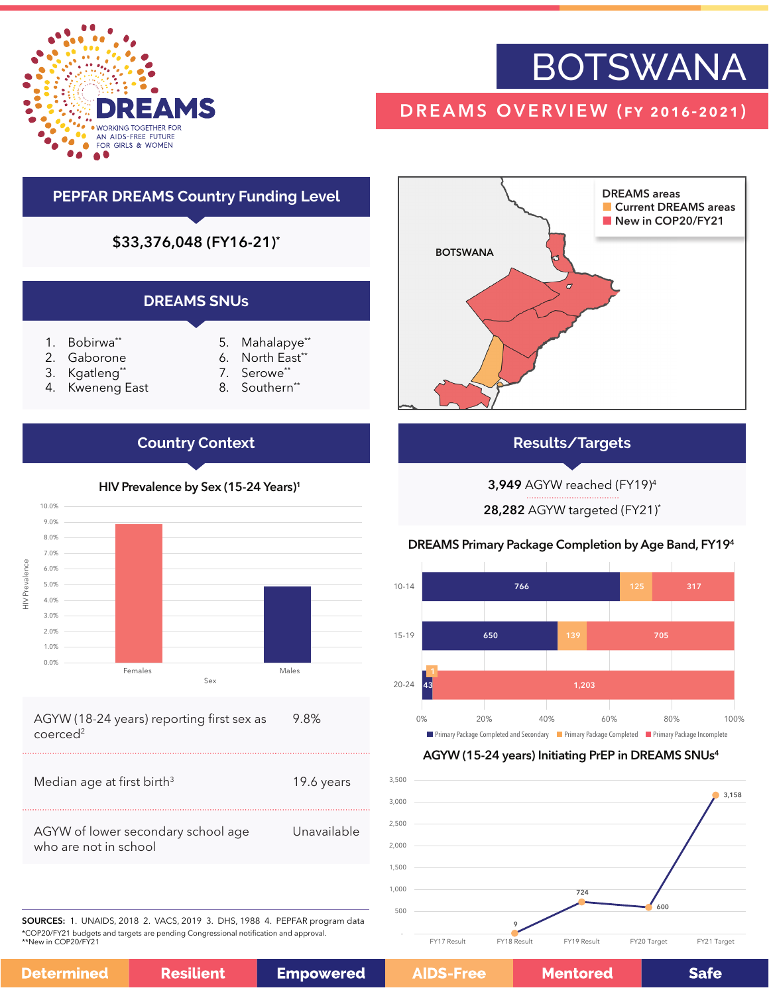

# **BOTSWANA**

### DREAMS OVERVIEW (fy 2016-2021)

#### **PEPFAR DREAMS Country Funding Level**

\$33,376,048 (FY16-21)\*

#### **DREAMS SNUs**

- 1. Bobirwa\*\*
- 2. Gaborone
- 3. Kgatleng\*
- 4. Kweneng East
- 5. Mahalapye\*\* 6. North East\*
- 7. Serowe\*\*
- 8. Southern\*\*

### **Country Context**



#### AGYW (18-24 years) reporting first sex as coerced<sup>2</sup> 9.8%

| Median age at first birth <sup>3</sup>                      | 19.6 years  |
|-------------------------------------------------------------|-------------|
| AGYW of lower secondary school age<br>who are not in school | Unavailable |

BOTSWANA DREAMS areas **Current DREAMS areas** New in COP20/FY21

#### **Results/Targets**

3,949 AGYW reached (FY19)4

28,282 AGYW targeted (FY21)\*

#### DREAMS Primary Package Completion by Age Band, FY194



#### AGYW (15-24 years) Initiating PrEP in DREAMS SNUs4



SOURCES: 1. UNAIDS, 2018 2. VACS, 2019 3. DHS, 1988 4. PEPFAR program data \*COP20/FY21 budgets and targets are pending Congressional notification and approval. \*\*New in COP20/FY21

**Determ** 

| iined | <b>Resilient</b> | <b>Empowere</b> |
|-------|------------------|-----------------|
|-------|------------------|-----------------|

e

**Mentored** 

**Safe** 

#### HIV Prevalence by Sex (15-24 Years)<sup>1</sup>